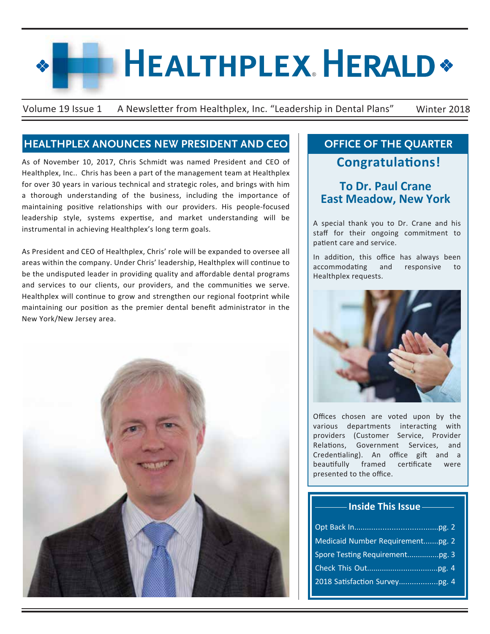# **HEALTHPLEX HERALD\***

Volume 19 Issue 1 A Newsletter from Healthplex, Inc. "Leadership in Dental Plans" Winter 2018

### **HEALTHPLEX ANOUNCES NEW PRESIDENT AND CEO**

As of November 10, 2017, Chris Schmidt was named President and CEO of Healthplex, Inc.. Chris has been a part of the management team at Healthplex for over 30 years in various technical and strategic roles, and brings with him a thorough understanding of the business, including the importance of maintaining positive relationships with our providers. His people-focused leadership style, systems expertise, and market understanding will be instrumental in achieving Healthplex's long term goals.

As President and CEO of Healthplex, Chris' role will be expanded to oversee all areas within the company. Under Chris' leadership, Healthplex will continue to be the undisputed leader in providing quality and affordable dental programs and services to our clients, our providers, and the communities we serve. Healthplex will continue to grow and strengthen our regional footprint while maintaining our position as the premier dental benefit administrator in the New York/New Jersey area.



## **OFFICE OF THE QUARTER Congratulations!**

## **To Dr. Paul Crane East Meadow, New York**

A special thank you to Dr. Crane and his staff for their ongoing commitment to patient care and service.

In addition, this office has always been accommodating and responsive to Healthplex requests.



Offices chosen are voted upon by the various departments interacting with providers (Customer Service, Provider Relations, Government Services, and Credentialing). An office gift and a beautifully framed certificate were presented to the office.

| ------------ Inside This Issue ----------- |
|--------------------------------------------|
|                                            |
| Medicaid Number Requirementpg. 2           |
|                                            |
|                                            |
|                                            |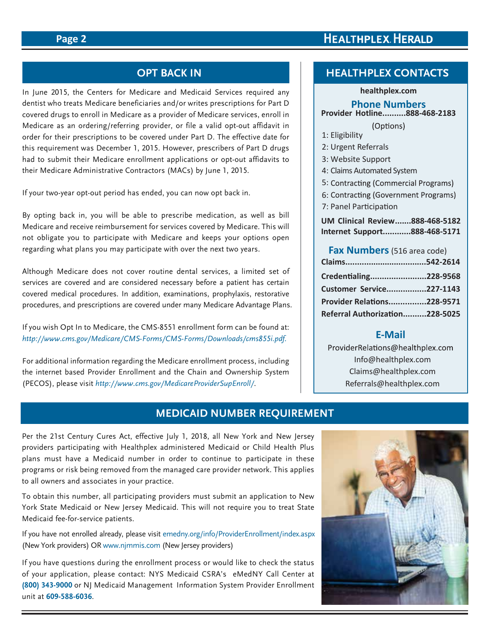#### **Page 2**

## **HEALTHPLEX HERALD**

#### **OPT BACK IN**

In June 2015, the Centers for Medicare and Medicaid Services required any dentist who treats Medicare beneficiaries and/or writes prescriptions for Part D covered drugs to enroll in Medicare as a provider of Medicare services, enroll in Medicare as an ordering/referring provider, or file a valid opt-out affidavit in order for their prescriptions to be covered under Part D. The effective date for this requirement was December 1, 2015. However, prescribers of Part D drugs had to submit their Medicare enrollment applications or opt-out affidavits to their Medicare Administrative Contractors (MACs) by June 1, 2015.

If your two-year opt-out period has ended, you can now opt back in.

By opting back in, you will be able to prescribe medication, as well as bill Medicare and receive reimbursement for services covered by Medicare. This will not obligate you to participate with Medicare and keeps your options open regarding what plans you may participate with over the next two years.

Although Medicare does not cover routine dental services, a limited set of services are covered and are considered necessary before a patient has certain covered medical procedures. In addition, examinations, prophylaxis, restorative procedures, and prescriptions are covered under many Medicare Advantage Plans.

If you wish Opt In to Medicare, the CMS-8551 enrollment form can be found at: *http://www.cms.gov/Medicare/CMS-Forms/CMS-Forms/Downloads/cms855i.pdf.* 

For additional information regarding the Medicare enrollment process, including the internet based Provider Enrollment and the Chain and Ownership System (PECOS), please visit *http://www.cms.gov/MedicareProviderSupEnroll/*.

#### **HEALTHPLEX CONTACTS**

#### **healthplex.com**

#### **Phone Numbers Provider Hotline..........888-468-2183**

(Options)

- 1: Eligibility
- 2: Urgent Referrals
- 3: Website Support
- 4: Claims Automated System
- 5: Contracting (Commercial Programs)
- 6: Contracting (Government Programs)
- 7: Panel Participation
- **UM Clinical Review.......888-468-5182 Internet Support............888-468-5171**

#### **Fax Numbers**(516 area code)

| Credentialing228-9568          |  |
|--------------------------------|--|
| Customer Service227-1143       |  |
| Provider Relations228-9571     |  |
| Referral Authorization228-5025 |  |

#### **E-Mail**

ProviderRelations@healthplex.com  Info@healthplex.com Claims@healthplex.com Referrals@healthplex.com

#### **MEDICAID NUMBER REQUIREMENT**

Per the 21st Century Cures Act, effective July 1, 2018, all New York and New Jersey providers participating with Healthplex administered Medicaid or Child Health Plus plans must have a Medicaid number in order to continue to participate in these programs or risk being removed from the managed care provider network. This applies to all owners and associates in your practice.

To obtain this number, all participating providers must submit an application to New York State Medicaid or New Jersey Medicaid. This will not require you to treat State Medicaid fee-for-service patients.

If you have not enrolled already, please visit emedny.org/info/ProviderEnrollment/index.aspx (New York providers) OR www.njmmis.com (New Jersey providers)

If you have questions during the enrollment process or would like to check the status of your application, please contact: NYS Medicaid CSRA's eMedNY Call Center at **(800) 343-9000** or NJ Medicaid Management Information System Provider Enrollment unit at **609-588-6036**.

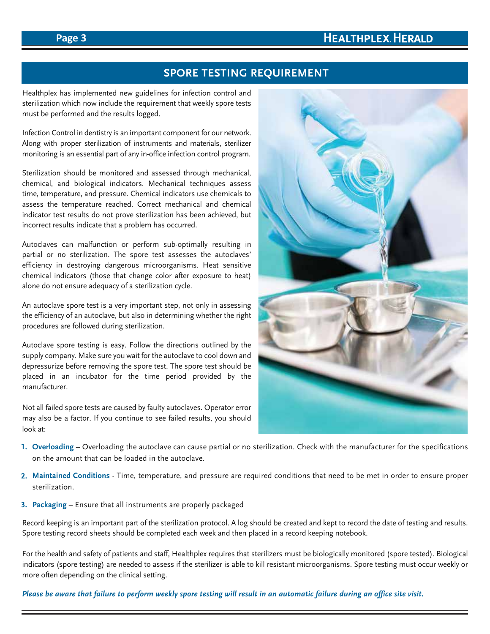## **HEALTHPLEX. HERALD**

#### **Page 3**

#### **SPORE TESTING REQUIREMENT**

Healthplex has implemented new guidelines for infection control and sterilization which now include the requirement that weekly spore tests must be performed and the results logged.

Infection Control in dentistry is an important component for our network. Along with proper sterilization of instruments and materials, sterilizer monitoring is an essential part of any in-office infection control program.

Sterilization should be monitored and assessed through mechanical, chemical, and biological indicators. Mechanical techniques assess time, temperature, and pressure. Chemical indicators use chemicals to assess the temperature reached. Correct mechanical and chemical indicator test results do not prove sterilization has been achieved, but incorrect results indicate that a problem has occurred.

Autoclaves can malfunction or perform sub-optimally resulting in partial or no sterilization. The spore test assesses the autoclaves' efficiency in destroying dangerous microorganisms. Heat sensitive chemical indicators (those that change color after exposure to heat) alone do not ensure adequacy of a sterilization cycle.

An autoclave spore test is a very important step, not only in assessing the efficiency of an autoclave, but also in determining whether the right procedures are followed during sterilization.

Autoclave spore testing is easy. Follow the directions outlined by the supply company. Make sure you wait for the autoclave to cool down and depressurize before removing the spore test. The spore test should be placed in an incubator for the time period provided by the manufacturer.

Not all failed spore tests are caused by faulty autoclaves. Operator error may also be a factor. If you continue to see failed results, you should look at:



- **Overloading** Overloading the autoclave can cause partial or no sterilization. Check with the manufacturer for the specifications **1.** on the amount that can be loaded in the autoclave.
- **Maintained Conditions** Time, temperature, and pressure are required conditions that need to be met in order to ensure proper **2.** sterilization.
- **Packaging** Ensure that all instruments are properly packaged **3.**

Record keeping is an important part of the sterilization protocol. A log should be created and kept to record the date of testing and results. Spore testing record sheets should be completed each week and then placed in a record keeping notebook.

For the health and safety of patients and staff, Healthplex requires that sterilizers must be biologically monitored (spore tested). Biological indicators (spore testing) are needed to assess if the sterilizer is able to kill resistant microorganisms. Spore testing must occur weekly or more often depending on the clinical setting.

*Please be aware that failure to perform weekly spore testing will result in an automatic failure during an office site visit.*